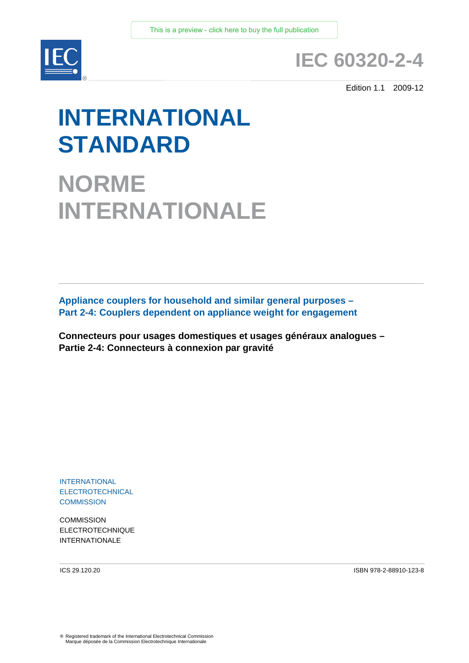

# **IEC 60320-2-4**

Edition 1.1 2009-12

# **INTERNATIONAL STANDARD**

**NORME INTERNATIONALE**

**Appliance couplers for household and similar general purposes – Part 2-4: Couplers dependent on appliance weight for engagement** 

**Connecteurs pour usages domestiques et usages généraux analogues – Partie 2-4: Connecteurs à connexion par gravité** 

INTERNATIONAL **ELECTROTECHNICAL COMMISSION** 

**COMMISSION** ELECTROTECHNIQUE  $\blacksquare$ <br> **INTERNATIONALE** 

ICS 29.120.20

ISBN 978-2-88910-123-8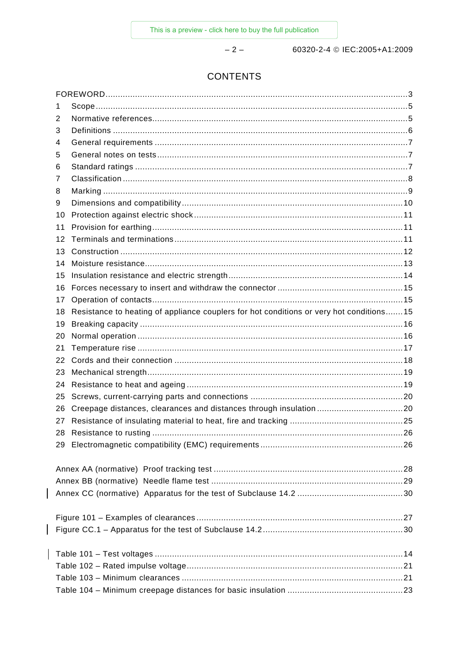$-2-$ 

60320-2-4 © IEC:2005+A1:2009

# **CONTENTS**

|  | 1              |                                                                                         |  |
|--|----------------|-----------------------------------------------------------------------------------------|--|
|  | 2              |                                                                                         |  |
|  | 3              |                                                                                         |  |
|  | 4              |                                                                                         |  |
|  | 5              |                                                                                         |  |
|  | 6              |                                                                                         |  |
|  | $\overline{7}$ |                                                                                         |  |
|  | 8              |                                                                                         |  |
|  | 9              |                                                                                         |  |
|  | 10             |                                                                                         |  |
|  | 11             |                                                                                         |  |
|  | 12             |                                                                                         |  |
|  | 13             |                                                                                         |  |
|  | 14             |                                                                                         |  |
|  | 15             |                                                                                         |  |
|  | 16             |                                                                                         |  |
|  | 17             |                                                                                         |  |
|  | 18             | Resistance to heating of appliance couplers for hot conditions or very hot conditions15 |  |
|  | 19             |                                                                                         |  |
|  | 20             |                                                                                         |  |
|  | 21             |                                                                                         |  |
|  | 22             |                                                                                         |  |
|  | 23             |                                                                                         |  |
|  | 24             |                                                                                         |  |
|  | 25             |                                                                                         |  |
|  | 26             |                                                                                         |  |
|  | 27             |                                                                                         |  |
|  |                |                                                                                         |  |
|  |                |                                                                                         |  |
|  |                |                                                                                         |  |
|  |                |                                                                                         |  |
|  |                |                                                                                         |  |
|  |                |                                                                                         |  |
|  |                |                                                                                         |  |
|  |                |                                                                                         |  |
|  |                |                                                                                         |  |
|  |                |                                                                                         |  |
|  |                |                                                                                         |  |
|  |                |                                                                                         |  |

 $\overline{\phantom{a}}$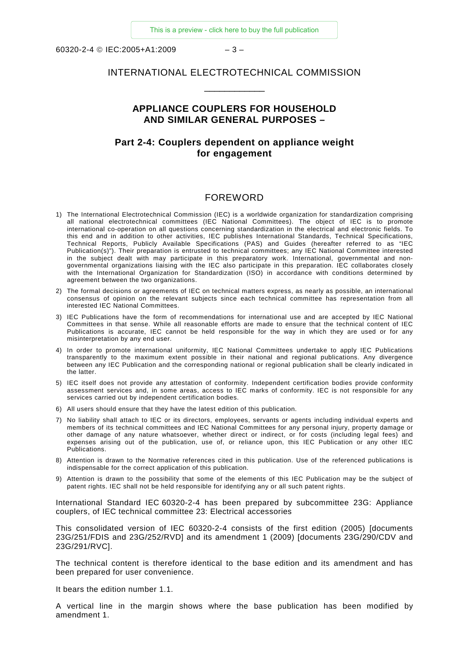<span id="page-2-0"></span>60320-2-4 © IEC:2005+A1:2009  $-3-$ 

## INTERNATIONAL ELECTROTECHNICAL COMMISSION \_\_\_\_\_\_\_\_\_\_\_\_

#### **APPLIANCE COUPLERS FOR HOUSEHOLD AND SIMILAR GENERAL PURPOSES –**

#### **Part 2-4: Couplers dependent on appliance weight for engagement**

#### FOREWORD

- 1) The International Electrotechnical Commission (IEC) is a worldwide organization for standardization comprising all national electrotechnical committees (IEC National Committees). The object of IEC is to promote international co-operation on all questions concerning standardization in the electrical and electronic fields. To this end and in addition to other activities, IEC publishes International Standards, Technical Specifications, Technical Reports, Publicly Available Specifications (PAS) and Guides (hereafter referred to as "IEC Publication(s)"). Their preparation is entrusted to technical committees; any IEC National Committee interested in the subject dealt with may participate in this preparatory work. International, governmental and nongovernmental organizations liaising with the IEC also participate in this preparation. IEC collaborates closely with the International Organization for Standardization (ISO) in accordance with conditions determined by agreement between the two organizations.
- 2) The formal decisions or agreements of IEC on technical matters express, as nearly as possible, an international consensus of opinion on the relevant subjects since each technical committee has representation from all interested IEC National Committees.
- 3) IEC Publications have the form of recommendations for international use and are accepted by IEC National Committees in that sense. While all reasonable efforts are made to ensure that the technical content of IEC Publications is accurate, IEC cannot be held responsible for the way in which they are used or for any misinterpretation by any end user.
- 4) In order to promote international uniformity, IEC National Committees undertake to apply IEC Publications transparently to the maximum extent possible in their national and regional publications. Any divergence between any IEC Publication and the corresponding national or regional publication shall be clearly indicated in the latter.
- 5) IEC itself does not provide any attestation of conformity. Independent certification bodies provide conformity assessment services and, in some areas, access to IEC marks of conformity. IEC is not responsible for any services carried out by independent certification bodies.
- 6) All users should ensure that they have the latest edition of this publication.
- 7) No liability shall attach to IEC or its directors, employees, servants or agents including individual experts and members of its technical committees and IEC National Committees for any personal injury, property damage or other damage of any nature whatsoever, whether direct or indirect, or for costs (including legal fees) and expenses arising out of the publication, use of, or reliance upon, this IEC Publication or any other IEC Publications.
- 8) Attention is drawn to the Normative references cited in this publication. Use of the referenced publications is indispensable for the correct application of this publication.
- 9) Attention is drawn to the possibility that some of the elements of this IEC Publication may be the subject of patent rights. IEC shall not be held responsible for identifying any or all such patent rights.

International Standard IEC 60320-2-4 has been prepared by subcommittee 23G: Appliance couplers, of IEC technical committee 23: Electrical accessories

This consolidated version of IEC 60320-2-4 consists of the first edition (2005) [documents 23G/251/FDIS and 23G/252/RVD] and its amendment 1 (2009) [documents 23G/290/CDV and 23G/291/RVC].

The technical content is therefore identical to the base edition and its amendment and has been prepared for user convenience.

It bears the edition number 1.1.

A vertical line in the margin shows where the base publication has been modified by amendment 1.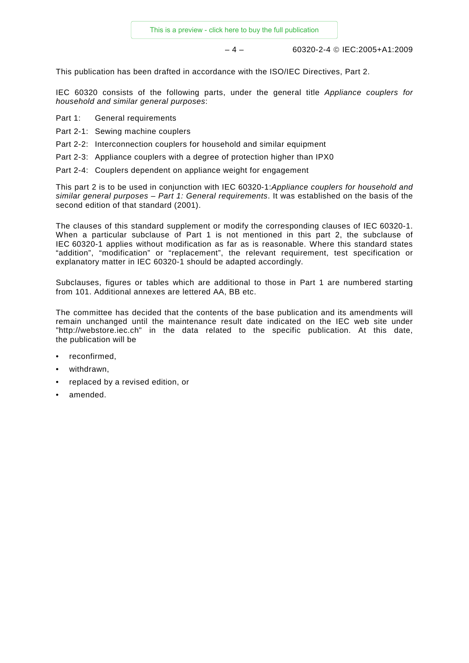– 4 – 60320-2-4 © IEC:2005+A1:2009

This publication has been drafted in accordance with the ISO/IEC Directives, Part 2.

IEC 60320 consists of the following parts, under the general title *Appliance couplers for household and similar general purposes*:

- Part 1: General requirements
- Part 2-1: Sewing machine couplers
- Part 2-2: Interconnection couplers for household and similar equipment
- Part 2-3: Appliance couplers with a degree of protection higher than IPX0
- Part 2-4: Couplers dependent on appliance weight for engagement

This part 2 is to be used in conjunction with IEC 60320-1:*Appliance couplers for household and similar general purposes – Part 1: General requirements*. It was established on the basis of the second edition of that standard (2001).

The clauses of this standard supplement or modify the corresponding clauses of IEC 60320-1. When a particular subclause of Part 1 is not mentioned in this part 2, the subclause of IEC 60320-1 applies without modification as far as is reasonable. Where this standard states "addition", "modification" or "replacement", the relevant requirement, test specification or explanatory matter in IEC 60320-1 should be adapted accordingly.

Subclauses, figures or tables which are additional to those in Part 1 are numbered starting from 101. Additional annexes are lettered AA, BB etc.

The committee has decided that the contents of the base publication and its amendments will remain unchanged until the maintenance result date indicated on the IEC web site under "http://webstore.iec.ch" in the data related to the specific publication. At this date, the publication will be

- reconfirmed,
- withdrawn.
- replaced by a revised edition, or
- amended.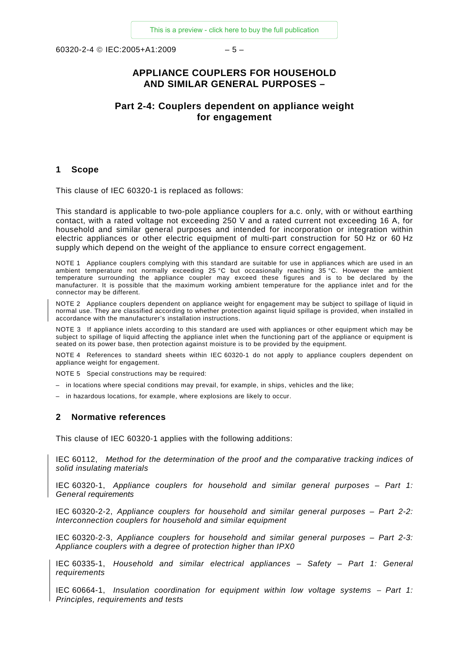<span id="page-4-0"></span>60320-2-4 © IEC:2005+A1:2009  $-5-$ 

#### **APPLIANCE COUPLERS FOR HOUSEHOLD AND SIMILAR GENERAL PURPOSES –**

#### **Part 2-4: Couplers dependent on appliance weight for engagement**

#### **1 Scope**

This clause of IEC 60320-1 is replaced as follows:

This standard is applicable to two-pole appliance couplers for a.c. only, with or without earthing contact, with a rated voltage not exceeding 250 V and a rated current not exceeding 16 A, for household and similar general purposes and intended for incorporation or integration within electric appliances or other electric equipment of multi-part construction for 50 Hz or 60 Hz supply which depend on the weight of the appliance to ensure correct engagement.

NOTE 1 Appliance couplers complying with this standard are suitable for use in appliances which are used in an ambient temperature not normally exceeding 25 °C but occasionally reaching 35 °C. However the ambient temperature surrounding the appliance coupler may exceed these figures and is to be declared by the manufacturer. It is possible that the maximum working ambient temperature for the appliance inlet and for the connector may be different.

NOTE 2 Appliance couplers dependent on appliance weight for engagement may be subject to spillage of liquid in normal use. They are classified according to whether protection against liquid spillage is provided, when installed in accordance with the manufacturer's installation instructions.

NOTE 3 If appliance inlets according to this standard are used with appliances or other equipment which may be subject to spillage of liquid affecting the appliance inlet when the functioning part of the appliance or equipment is seated on its power base, then protection against moisture is to be provided by the equipment.

NOTE 4 References to standard sheets within IEC 60320-1 do not apply to appliance couplers dependent on appliance weight for engagement.

NOTE 5 Special constructions may be required:

– in locations where special conditions may prevail, for example, in ships, vehicles and the like;

– in hazardous locations, for example, where explosions are likely to occur.

#### **2 Normative references**

This clause of IEC 60320-1 applies with the following additions:

IEC 60112, *Method for the determination of the proof and the comparative tracking indices of solid insulating materials* 

IEC 60320-1, *Appliance couplers for household and similar general purposes – Part 1: General requirements* 

IEC 60320-2-2, *Appliance couplers for household and similar general purposes – Part 2-2: Interconnection couplers for household and similar equipment* 

IEC 60320-2-3, *Appliance couplers for household and similar general purposes – Part 2-3: Appliance couplers with a degree of protection higher than IPX0* 

IEC 60335-1, *Household and similar electrical appliances – Safety – Part 1: General requirements* 

IEC 60664-1, *Insulation coordination for equipment within low voltage systems* − *Part 1: Principles, requirements and tests*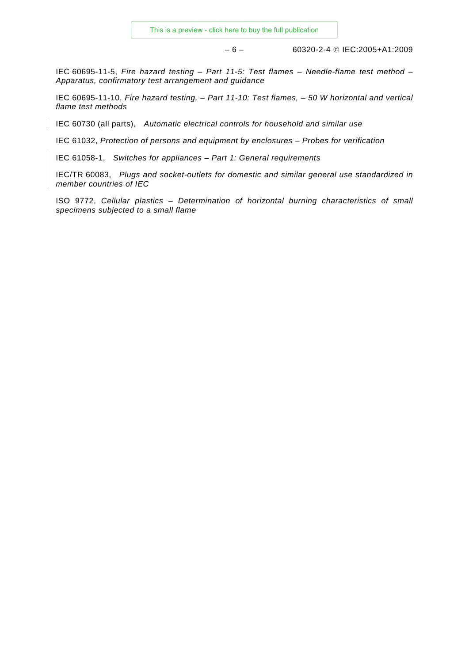– 6 – 60320-2-4 © IEC:2005+A1:2009

<span id="page-5-0"></span>IEC 60695-11-5, *Fire hazard testing – Part 11-5: Test flames – Needle-flame test method – Apparatus, confirmatory test arrangement and guidance* 

IEC 60695-11-10, *Fire hazard testing, – Part 11-10: Test flames, – 50 W horizontal and vertical flame test methods* 

IEC 60730 (all parts), *Automatic electrical controls for household and similar use* 

IEC 61032, *Protection of persons and equipment by enclosures – Probes for verification* 

IEC 61058-1, *Switches for appliances – Part 1: General requirements* 

IEC/TR 60083, *Plugs and socket-outlets for domestic and similar general use standardized in member countries of IEC* 

ISO 9772, *Cellular plastics – Determination of horizontal burning characteristics of small specimens subjected to a small flame*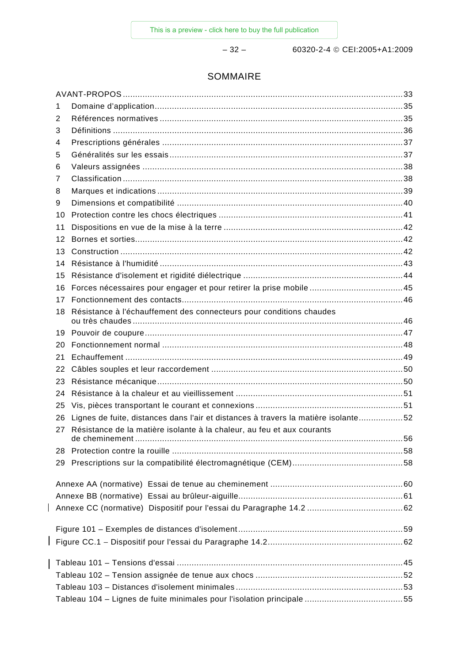– 32 – 60320-2-4 © CEI:2005+A1:2009

## SOMMAIRE

| 1  |                                                                                    |  |
|----|------------------------------------------------------------------------------------|--|
| 2  |                                                                                    |  |
| 3  |                                                                                    |  |
| 4  |                                                                                    |  |
| 5  |                                                                                    |  |
| 6  |                                                                                    |  |
| 7  |                                                                                    |  |
| 8  |                                                                                    |  |
| 9  |                                                                                    |  |
| 10 |                                                                                    |  |
| 11 |                                                                                    |  |
| 12 |                                                                                    |  |
| 13 |                                                                                    |  |
| 14 |                                                                                    |  |
| 15 |                                                                                    |  |
| 16 |                                                                                    |  |
| 17 |                                                                                    |  |
|    | 18 Résistance à l'échauffement des connecteurs pour conditions chaudes             |  |
|    |                                                                                    |  |
|    |                                                                                    |  |
| 21 |                                                                                    |  |
| 22 |                                                                                    |  |
| 23 |                                                                                    |  |
| 24 |                                                                                    |  |
| 25 |                                                                                    |  |
| 26 | Lignes de fuite, distances dans l'air et distances à travers la matière isolante52 |  |
| 27 | Résistance de la matière isolante à la chaleur, au feu et aux courants             |  |
|    |                                                                                    |  |
|    |                                                                                    |  |
|    |                                                                                    |  |
|    |                                                                                    |  |
|    |                                                                                    |  |
|    |                                                                                    |  |
|    |                                                                                    |  |
|    |                                                                                    |  |
|    |                                                                                    |  |
|    |                                                                                    |  |
|    |                                                                                    |  |
|    |                                                                                    |  |
|    |                                                                                    |  |
|    |                                                                                    |  |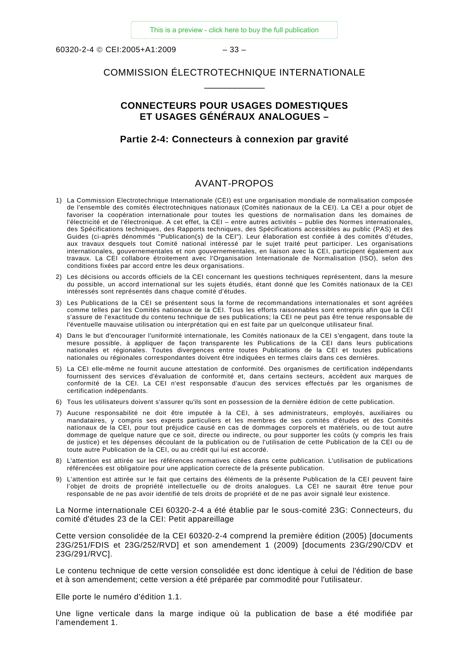<span id="page-7-0"></span> $60320 - 2 - 4 \odot \text{CE}$  : 2005+A1:2009 – 33 –

#### COMMISSION ÉLECTROTECHNIQUE INTERNATIONALE  $\overline{\phantom{a}}$  , where  $\overline{\phantom{a}}$

#### **CONNECTEURS POUR USAGES DOMESTIQUES ET USAGES GÉNÉRAUX ANALOGUES –**

#### **Partie 2-4: Connecteurs à connexion par gravité**

#### AVANT-PROPOS

- 1) La Commission Electrotechnique Internationale (CEI) est une organisation mondiale de normalisation composée de l'ensemble des comités électrotechniques nationaux (Comités nationaux de la CEI). La CEI a pour objet de favoriser la coopération internationale pour toutes les questions de normalisation dans les domaines de l'électricité et de l'électronique. A cet effet, la CEI – entre autres activités – publie des Normes internationales, des Spécifications techniques, des Rapports techniques, des Spécifications accessibles au public (PAS) et des Guides (ci-après dénommés "Publication(s) de la CEI"). Leur élaboration est confiée à des comités d'études, aux travaux desquels tout Comité national intéressé par le sujet traité peut participer. Les organisations internationales, gouvernementales et non gouvernementales, en liaison avec la CEI, participent également aux travaux. La CEI collabore étroitement avec l'Organisation Internationale de Normalisation (ISO), selon des conditions fixées par accord entre les deux organisations.
- 2) Les décisions ou accords officiels de la CEI concernant les questions techniques représentent, dans la mesure du possible, un accord international sur les sujets étudiés, étant donné que les Comités nationaux de la CEI intéressés sont représentés dans chaque comité d'études.
- 3) Les Publications de la CEI se présentent sous la forme de recommandations internationales et sont agréées comme telles par les Comités nationaux de la CEI. Tous les efforts raisonnables sont entrepris afin que la CEI s'assure de l'exactitude du contenu technique de ses publications; la CEI ne peut pas être tenue responsable de l'éventuelle mauvaise utilisation ou interprétation qui en est faite par un quelconque utilisateur final.
- 4) Dans le but d'encourager l'uniformité internationale, les Comités nationaux de la CEI s'engagent, dans toute la mesure possible, à appliquer de façon transparente les Publications de la CEI dans leurs publications nationales et régionales. Toutes divergences entre toutes Publications de la CEI et toutes publications nationales ou régionales correspondantes doivent être indiquées en termes clairs dans ces dernières.
- 5) La CEI elle-même ne fournit aucune attestation de conformité. Des organismes de certification indépendants fournissent des services d'évaluation de conformité et, dans certains secteurs, accèdent aux marques de conformité de la CEI. La CEI n'est responsable d'aucun des services effectués par les organismes de certification indépendants.
- 6) Tous les utilisateurs doivent s'assurer qu'ils sont en possession de la dernière édition de cette publication.
- 7) Aucune responsabilité ne doit être imputée à la CEI, à ses administrateurs, employés, auxiliaires ou mandataires, y compris ses experts particuliers et les membres de ses comités d'études et des Comités nationaux de la CEI, pour tout préjudice causé en cas de dommages corporels et matériels, ou de tout autre dommage de quelque nature que ce soit, directe ou indirecte, ou pour supporter les coûts (y compris les frais de justice) et les dépenses découlant de la publication ou de l'utilisation de cette Publication de la CEI ou de toute autre Publication de la CEI, ou au crédit qui lui est accordé.
- 8) L'attention est attirée sur les références normatives citées dans cette publication. L'utilisation de publications référencées est obligatoire pour une application correcte de la présente publication.
- 9) L'attention est attirée sur le fait que certains des éléments de la présente Publication de la CEI peuvent faire l'objet de droits de propriété intellectuelle ou de droits analogues. La CEI ne saurait être tenue pour responsable de ne pas avoir identifié de tels droits de propriété et de ne pas avoir signalé leur existence.

La Norme internationale CEI 60320-2-4 a été établie par le sous-comité 23G: Connecteurs, du comité d'études 23 de la CEI: Petit appareillage

Cette version consolidée de la CEI 60320-2-4 comprend la première édition (2005) [documents 23G/251/FDIS et 23G/252/RVD] et son amendement 1 (2009) [documents 23G/290/CDV et 23G/291/RVC].

Le contenu technique de cette version consolidée est donc identique à celui de l'édition de base et à son amendement; cette version a été préparée par commodité pour l'utilisateur.

Elle porte le numéro d'édition 1.1.

Une ligne verticale dans la marge indique où la publication de base a été modifiée par l'amendement 1.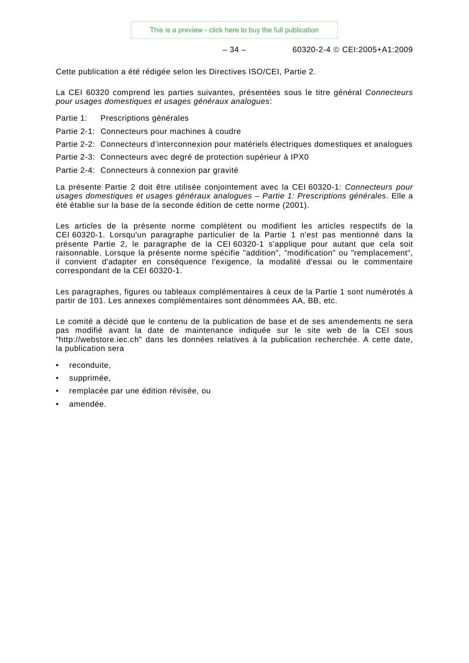$-34 - 60320 - 2 - 4 \odot \text{CE}$ 1:2005+A1:2009

Cette publication a été rédigée selon les Directives ISO/CEI, Partie 2.

La CEI 60320 comprend les parties suivantes, présentées sous le titre général *Connecteurs pour usages domestiques et usages généraux analogues*:

- Partie 1: Prescriptions générales
- Partie 2-1: Connecteurs pour machines à coudre
- Partie 2-2: Connecteurs d'interconnexion pour matériels électriques domestiques et analogues
- Partie 2-3: Connecteurs avec degré de protection supérieur à IPX0
- Partie 2-4: Connecteurs à connexion par gravité

La présente Partie 2 doit être utilisée conjointement avec la CEI 60320-1: *Connecteurs pour usages domestiques et usages généraux analogues – Partie 1: Prescriptions générales*. Elle a été établie sur la base de la seconde édition de cette norme (2001).

Les articles de la présente norme complètent ou modifient les articles respectifs de la CEI 60320-1. Lorsqu'un paragraphe particulier de la Partie 1 n'est pas mentionné dans la présente Partie 2, le paragraphe de la CEI 60320-1 s'applique pour autant que cela soit raisonnable. Lorsque la présente norme spécifie "addition", "modification" ou "remplacement", il convient d'adapter en conséquence l'exigence, la modalité d'essai ou le commentaire correspondant de la CEI 60320-1.

Les paragraphes, figures ou tableaux complémentaires à ceux de la Partie 1 sont numérotés à partir de 101. Les annexes complémentaires sont dénommées AA, BB, etc.

Le comité a décidé que le contenu de la publication de base et de ses amendements ne sera pas modifié avant la date de maintenance indiquée sur le site web de la CEI sous "http://webstore.iec.ch" dans les données relatives à la publication recherchée. A cette date, la publication sera

- reconduite,
- supprimée,
- remplacée par une édition révisée, ou
- amendée.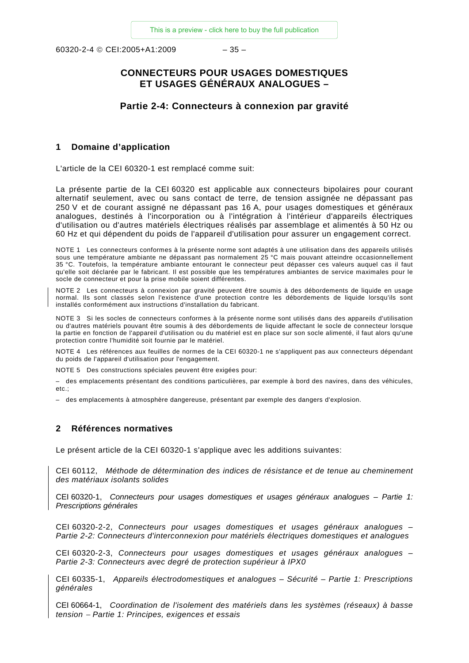<span id="page-9-0"></span> $60320 - 2 - 4 \odot \text{CE}$  : 2005+A1:2009 – 35 –

#### **CONNECTEURS POUR USAGES DOMESTIQUES ET USAGES GÉNÉRAUX ANALOGUES –**

#### **Partie 2-4: Connecteurs à connexion par gravité**

#### **1 Domaine d'application**

L'article de la CEI 60320-1 est remplacé comme suit:

La présente partie de la CEI 60320 est applicable aux connecteurs bipolaires pour courant alternatif seulement, avec ou sans contact de terre, de tension assignée ne dépassant pas 250 V et de courant assigné ne dépassant pas 16 A, pour usages domestiques et généraux analogues, destinés à l'incorporation ou à l'intégration à l'intérieur d'appareils électriques d'utilisation ou d'autres matériels électriques réalisés par assemblage et alimentés à 50 Hz ou 60 Hz et qui dépendent du poids de l'appareil d'utilisation pour assurer un engagement correct.

NOTE 1 Les connecteurs conformes à la présente norme sont adaptés à une utilisation dans des appareils utilisés sous une température ambiante ne dépassant pas normalement 25 °C mais pouvant atteindre occasionnellement 35 °C. Toutefois, la température ambiante entourant le connecteur peut dépasser ces valeurs auquel cas il faut qu'elle soit déclarée par le fabricant. Il est possible que les températures ambiantes de service maximales pour le socle de connecteur et pour la prise mobile soient différentes.

NOTE 2 Les connecteurs à connexion par gravité peuvent être soumis à des débordements de liquide en usage normal. Ils sont classés selon l'existence d'une protection contre les débordements de liquide lorsqu'ils sont installés conformément aux instructions d'installation du fabricant.

NOTE 3 Si les socles de connecteurs conformes à la présente norme sont utilisés dans des appareils d'utilisation ou d'autres matériels pouvant être soumis à des débordements de liquide affectant le socle de connecteur lorsque la partie en fonction de l'appareil d'utilisation ou du matériel est en place sur son socle alimenté, il faut alors qu'une protection contre l'humidité soit fournie par le matériel.

NOTE 4 Les références aux feuilles de normes de la CEI 60320-1 ne s'appliquent pas aux connecteurs dépendant du poids de l'appareil d'utilisation pour l'engagement.

NOTE 5 Des constructions spéciales peuvent être exigées pour:

– des emplacements présentant des conditions particulières, par exemple à bord des navires, dans des véhicules, etc.;

– des emplacements à atmosphère dangereuse, présentant par exemple des dangers d'explosion.

#### **2 Références normatives**

Le présent article de la CEI 60320-1 s'applique avec les additions suivantes:

CEI 60112, *Méthode de détermination des indices de résistance et de tenue au cheminement des matériaux isolants solides* 

CEI 60320-1, *Connecteurs pour usages domestiques et usages généraux analogues – Partie 1: Prescriptions générales* 

CEI 60320-2-2, *Connecteurs pour usages domestiques et usages généraux analogues – Partie 2-2: Connecteurs d'interconnexion pour matériels électriques domestiques et analogues*

CEI 60320-2-3, *Connecteurs pour usages domestiques et usages généraux analogues – Partie 2-3: Connecteurs avec degré de protection supérieur à IPX0*

CEI 60335-1, *Appareils électrodomestiques et analogues – Sécurité – Partie 1: Prescriptions générales* 

CEI 60664-1, *Coordination de l'isolement des matériels dans les systèmes (réseaux) à basse tension* − *Partie 1: Principes, exigences et essais*